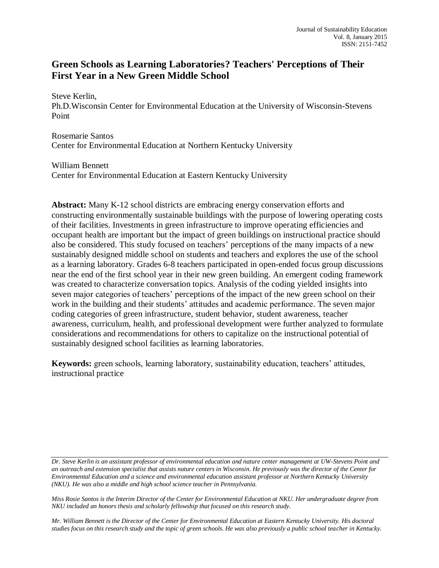# **Green Schools as Learning Laboratories? Teachers' Perceptions of Their First Year in a New Green Middle School**

Steve Kerlin,

Ph.D.Wisconsin Center for Environmental Education at the University of Wisconsin-Stevens Point

Rosemarie Santos Center for Environmental Education at Northern Kentucky University

William Bennett Center for Environmental Education at Eastern Kentucky University

**Abstract:** Many K-12 school districts are embracing energy conservation efforts and constructing environmentally sustainable buildings with the purpose of lowering operating costs of their facilities. Investments in green infrastructure to improve operating efficiencies and occupant health are important but the impact of green buildings on instructional practice should also be considered. This study focused on teachers' perceptions of the many impacts of a new sustainably designed middle school on students and teachers and explores the use of the school as a learning laboratory. Grades 6-8 teachers participated in open-ended focus group discussions near the end of the first school year in their new green building. An emergent coding framework was created to characterize conversation topics. Analysis of the coding yielded insights into seven major categories of teachers' perceptions of the impact of the new green school on their work in the building and their students' attitudes and academic performance. The seven major coding categories of green infrastructure, student behavior, student awareness, teacher awareness, curriculum, health, and professional development were further analyzed to formulate considerations and recommendations for others to capitalize on the instructional potential of sustainably designed school facilities as learning laboratories.

**Keywords:** green schools, learning laboratory, sustainability education, teachers' attitudes, instructional practice

*Dr. Steve Kerlin is an assistant professor of environmental education and nature center management at UW-Stevens Point and an outreach and extension specialist that assists nature centers in Wisconsin. He previously was the director of the Center for Environmental Education and a science and environmental education assistant professor at Northern Kentucky University (NKU). He was also a middle and high school science teacher in Pennsylvania.*

*Miss Rosie Santos is the Interim Director of the Center for Environmental Education at NKU. Her undergraduate degree from NKU included an honors thesis and scholarly fellowship that focused on this research study.*

*Mr. William Bennett is the Director of the Center for Environmental Education at Eastern Kentucky University. His doctoral studies focus on this research study and the topic of green schools. He was also previously a public school teacher in Kentucky.*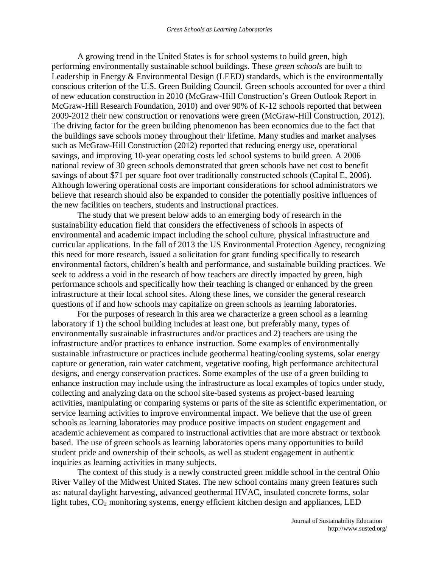A growing trend in the United States is for school systems to build green, high performing environmentally sustainable school buildings. These *green schools* are built to Leadership in Energy & Environmental Design (LEED) standards, which is the environmentally conscious criterion of the U.S. Green Building Council. Green schools accounted for over a third of new education construction in 2010 (McGraw-Hill Construction's Green Outlook Report in McGraw-Hill Research Foundation, 2010) and over 90% of K-12 schools reported that between 2009-2012 their new construction or renovations were green (McGraw-Hill Construction, 2012). The driving factor for the green building phenomenon has been economics due to the fact that the buildings save schools money throughout their lifetime. Many studies and market analyses such as McGraw-Hill Construction (2012) reported that reducing energy use, operational savings, and improving 10-year operating costs led school systems to build green. A 2006 national review of 30 green schools demonstrated that green schools have net cost to benefit savings of about \$71 per square foot over traditionally constructed schools (Capital E, 2006). Although lowering operational costs are important considerations for school administrators we believe that research should also be expanded to consider the potentially positive influences of the new facilities on teachers, students and instructional practices.

The study that we present below adds to an emerging body of research in the sustainability education field that considers the effectiveness of schools in aspects of environmental and academic impact including the school culture, physical infrastructure and curricular applications. In the fall of 2013 the US Environmental Protection Agency, recognizing this need for more research, issued a solicitation for grant funding specifically to research environmental factors, children's health and performance, and sustainable building practices. We seek to address a void in the research of how teachers are directly impacted by green, high performance schools and specifically how their teaching is changed or enhanced by the green infrastructure at their local school sites. Along these lines, we consider the general research questions of if and how schools may capitalize on green schools as learning laboratories.

For the purposes of research in this area we characterize a green school as a learning laboratory if 1) the school building includes at least one, but preferably many, types of environmentally sustainable infrastructures and/or practices and 2) teachers are using the infrastructure and/or practices to enhance instruction. Some examples of environmentally sustainable infrastructure or practices include geothermal heating/cooling systems, solar energy capture or generation, rain water catchment, vegetative roofing, high performance architectural designs, and energy conservation practices. Some examples of the use of a green building to enhance instruction may include using the infrastructure as local examples of topics under study, collecting and analyzing data on the school site-based systems as project-based learning activities, manipulating or comparing systems or parts of the site as scientific experimentation, or service learning activities to improve environmental impact. We believe that the use of green schools as learning laboratories may produce positive impacts on student engagement and academic achievement as compared to instructional activities that are more abstract or textbook based. The use of green schools as learning laboratories opens many opportunities to build student pride and ownership of their schools, as well as student engagement in authentic inquiries as learning activities in many subjects.

The context of this study is a newly constructed green middle school in the central Ohio River Valley of the Midwest United States. The new school contains many green features such as: natural daylight harvesting, advanced geothermal HVAC, insulated concrete forms, solar light tubes,  $CO<sub>2</sub>$  monitoring systems, energy efficient kitchen design and appliances, LED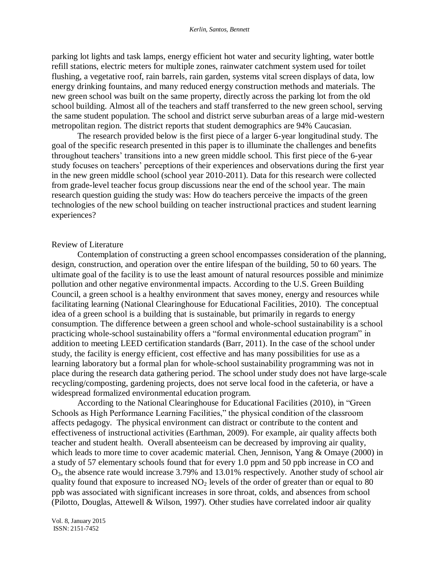parking lot lights and task lamps, energy efficient hot water and security lighting, water bottle refill stations, electric meters for multiple zones, rainwater catchment system used for toilet flushing, a vegetative roof, rain barrels, rain garden, systems vital screen displays of data, low energy drinking fountains, and many reduced energy construction methods and materials. The new green school was built on the same property, directly across the parking lot from the old school building. Almost all of the teachers and staff transferred to the new green school, serving the same student population. The school and district serve suburban areas of a large mid-western metropolitan region. The district reports that student demographics are 94% Caucasian.

The research provided below is the first piece of a larger 6-year longitudinal study. The goal of the specific research presented in this paper is to illuminate the challenges and benefits throughout teachers' transitions into a new green middle school. This first piece of the 6-year study focuses on teachers' perceptions of their experiences and observations during the first year in the new green middle school (school year 2010-2011). Data for this research were collected from grade-level teacher focus group discussions near the end of the school year. The main research question guiding the study was: How do teachers perceive the impacts of the green technologies of the new school building on teacher instructional practices and student learning experiences?

#### Review of Literature

Contemplation of constructing a green school encompasses consideration of the planning, design, construction, and operation over the entire lifespan of the building, 50 to 60 years. The ultimate goal of the facility is to use the least amount of natural resources possible and minimize pollution and other negative environmental impacts. According to the U.S. Green Building Council, a green school is a healthy environment that saves money, energy and resources while facilitating learning (National Clearinghouse for Educational Facilities, 2010). The conceptual idea of a green school is a building that is sustainable, but primarily in regards to energy consumption. The difference between a green school and whole-school sustainability is a school practicing whole-school sustainability offers a "formal environmental education program" in addition to meeting LEED certification standards (Barr, 2011). In the case of the school under study, the facility is energy efficient, cost effective and has many possibilities for use as a learning laboratory but a formal plan for whole-school sustainability programming was not in place during the research data gathering period. The school under study does not have large-scale recycling/composting, gardening projects, does not serve local food in the cafeteria, or have a widespread formalized environmental education program.

According to the National Clearinghouse for Educational Facilities (2010), in "Green Schools as High Performance Learning Facilities," the physical condition of the classroom affects pedagogy. The physical environment can distract or contribute to the content and effectiveness of instructional activities (Earthman, 2009). For example, air quality affects both teacher and student health. Overall absenteeism can be decreased by improving air quality, which leads to more time to cover academic material. Chen, Jennison, Yang & Omaye (2000) in a study of 57 elementary schools found that for every 1.0 ppm and 50 ppb increase in CO and O3, the absence rate would increase 3.79% and 13.01% respectively. Another study of school air quality found that exposure to increased  $NO<sub>2</sub>$  levels of the order of greater than or equal to 80 ppb was associated with significant increases in sore throat, colds, and absences from school (Pilotto, Douglas, Attewell & Wilson, 1997). Other studies have correlated indoor air quality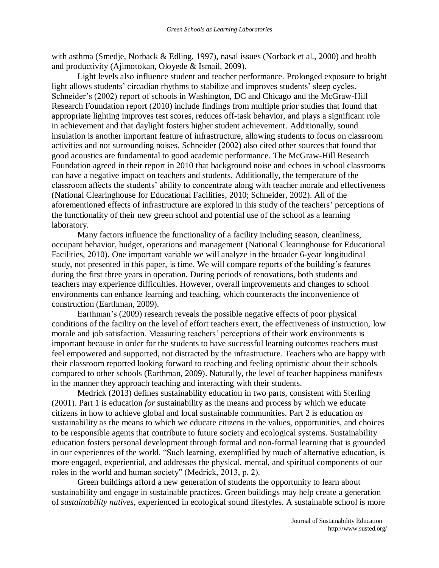with asthma (Smedje, Norback & Edling, 1997), nasal issues (Norback et al., 2000) and health and productivity (Ajimotokan, Oloyede & Ismail, 2009).

Light levels also influence student and teacher performance. Prolonged exposure to bright light allows students' circadian rhythms to stabilize and improves students' sleep cycles. Schneider's (2002) report of schools in Washington, DC and Chicago and the McGraw-Hill Research Foundation report (2010) include findings from multiple prior studies that found that appropriate lighting improves test scores, reduces off-task behavior, and plays a significant role in achievement and that daylight fosters higher student achievement. Additionally, sound insulation is another important feature of infrastructure, allowing students to focus on classroom activities and not surrounding noises. Schneider (2002) also cited other sources that found that good acoustics are fundamental to good academic performance. The McGraw-Hill Research Foundation agreed in their report in 2010 that background noise and echoes in school classrooms can have a negative impact on teachers and students. Additionally, the temperature of the classroom affects the students' ability to concentrate along with teacher morale and effectiveness (National Clearinghouse for Educational Facilities, 2010; Schneider, 2002). All of the aforementioned effects of infrastructure are explored in this study of the teachers' perceptions of the functionality of their new green school and potential use of the school as a learning laboratory.

Many factors influence the functionality of a facility including season, cleanliness, occupant behavior, budget, operations and management (National Clearinghouse for Educational Facilities, 2010). One important variable we will analyze in the broader 6-year longitudinal study, not presented in this paper, is time. We will compare reports of the building's features during the first three years in operation. During periods of renovations, both students and teachers may experience difficulties. However, overall improvements and changes to school environments can enhance learning and teaching, which counteracts the inconvenience of construction (Earthman, 2009).

Earthman's (2009) research reveals the possible negative effects of poor physical conditions of the facility on the level of effort teachers exert, the effectiveness of instruction, low morale and job satisfaction. Measuring teachers' perceptions of their work environments is important because in order for the students to have successful learning outcomes teachers must feel empowered and supported, not distracted by the infrastructure. Teachers who are happy with their classroom reported looking forward to teaching and feeling optimistic about their schools compared to other schools (Earthman, 2009). Naturally, the level of teacher happiness manifests in the manner they approach teaching and interacting with their students.

Medrick (2013) defines sustainability education in two parts, consistent with Sterling (2001). Part 1 is education *for* sustainability as the means and process by which we educate citizens in how to achieve global and local sustainable communities. Part 2 is education *as* sustainability as the means to which we educate citizens in the values, opportunities, and choices to be responsible agents that contribute to future society and ecological systems. Sustainability education fosters personal development through formal and non-formal learning that is grounded in our experiences of the world. "Such learning, exemplified by much of alternative education, is more engaged, experiential, and addresses the physical, mental, and spiritual components of our roles in the world and human society" (Medrick, 2013, p. 2).

Green buildings afford a new generation of students the opportunity to learn about sustainability and engage in sustainable practices. Green buildings may help create a generation of *sustainability natives*, experienced in ecological sound lifestyles. A sustainable school is more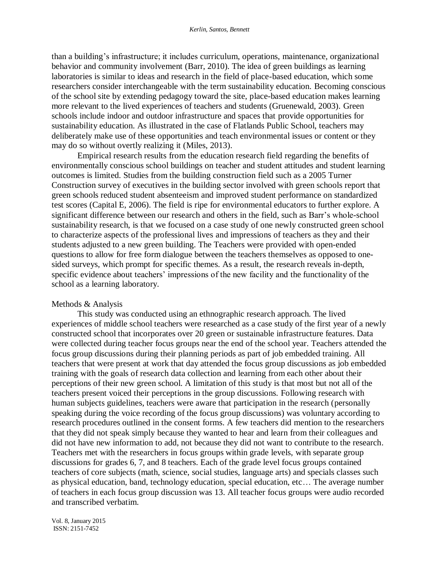than a building's infrastructure; it includes curriculum, operations, maintenance, organizational behavior and community involvement (Barr, 2010). The idea of green buildings as learning laboratories is similar to ideas and research in the field of place-based education, which some researchers consider interchangeable with the term sustainability education. Becoming conscious of the school site by extending pedagogy toward the site, place-based education makes learning more relevant to the lived experiences of teachers and students (Gruenewald, 2003). Green schools include indoor and outdoor infrastructure and spaces that provide opportunities for sustainability education. As illustrated in the case of Flatlands Public School, teachers may deliberately make use of these opportunities and teach environmental issues or content or they may do so without overtly realizing it (Miles, 2013).

Empirical research results from the education research field regarding the benefits of environmentally conscious school buildings on teacher and student attitudes and student learning outcomes is limited. Studies from the building construction field such as a 2005 Turner Construction survey of executives in the building sector involved with green schools report that green schools reduced student absenteeism and improved student performance on standardized test scores (Capital E, 2006). The field is ripe for environmental educators to further explore. A significant difference between our research and others in the field, such as Barr's whole-school sustainability research, is that we focused on a case study of one newly constructed green school to characterize aspects of the professional lives and impressions of teachers as they and their students adjusted to a new green building. The Teachers were provided with open-ended questions to allow for free form dialogue between the teachers themselves as opposed to onesided surveys, which prompt for specific themes. As a result, the research reveals in-depth, specific evidence about teachers' impressions of the new facility and the functionality of the school as a learning laboratory.

#### Methods & Analysis

This study was conducted using an ethnographic research approach. The lived experiences of middle school teachers were researched as a case study of the first year of a newly constructed school that incorporates over 20 green or sustainable infrastructure features. Data were collected during teacher focus groups near the end of the school year. Teachers attended the focus group discussions during their planning periods as part of job embedded training. All teachers that were present at work that day attended the focus group discussions as job embedded training with the goals of research data collection and learning from each other about their perceptions of their new green school. A limitation of this study is that most but not all of the teachers present voiced their perceptions in the group discussions. Following research with human subjects guidelines, teachers were aware that participation in the research (personally speaking during the voice recording of the focus group discussions) was voluntary according to research procedures outlined in the consent forms. A few teachers did mention to the researchers that they did not speak simply because they wanted to hear and learn from their colleagues and did not have new information to add, not because they did not want to contribute to the research. Teachers met with the researchers in focus groups within grade levels, with separate group discussions for grades 6, 7, and 8 teachers. Each of the grade level focus groups contained teachers of core subjects (math, science, social studies, language arts) and specials classes such as physical education, band, technology education, special education, etc… The average number of teachers in each focus group discussion was 13. All teacher focus groups were audio recorded and transcribed verbatim.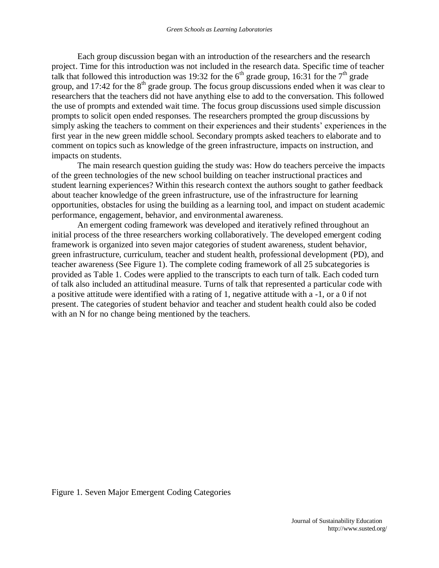Each group discussion began with an introduction of the researchers and the research project. Time for this introduction was not included in the research data. Specific time of teacher talk that followed this introduction was 19:32 for the  $6<sup>th</sup>$  grade group, 16:31 for the  $7<sup>th</sup>$  grade group, and 17:42 for the  $8<sup>th</sup>$  grade group. The focus group discussions ended when it was clear to researchers that the teachers did not have anything else to add to the conversation. This followed the use of prompts and extended wait time. The focus group discussions used simple discussion prompts to solicit open ended responses. The researchers prompted the group discussions by simply asking the teachers to comment on their experiences and their students' experiences in the first year in the new green middle school. Secondary prompts asked teachers to elaborate and to comment on topics such as knowledge of the green infrastructure, impacts on instruction, and impacts on students.

The main research question guiding the study was: How do teachers perceive the impacts of the green technologies of the new school building on teacher instructional practices and student learning experiences? Within this research context the authors sought to gather feedback about teacher knowledge of the green infrastructure, use of the infrastructure for learning opportunities, obstacles for using the building as a learning tool, and impact on student academic performance, engagement, behavior, and environmental awareness.

An emergent coding framework was developed and iteratively refined throughout an initial process of the three researchers working collaboratively. The developed emergent coding framework is organized into seven major categories of student awareness, student behavior, green infrastructure, curriculum, teacher and student health, professional development (PD), and teacher awareness (See Figure 1). The complete coding framework of all 25 subcategories is provided as Table 1. Codes were applied to the transcripts to each turn of talk. Each coded turn of talk also included an attitudinal measure. Turns of talk that represented a particular code with a positive attitude were identified with a rating of 1, negative attitude with a -1, or a 0 if not present. The categories of student behavior and teacher and student health could also be coded with an N for no change being mentioned by the teachers.

Figure 1. Seven Major Emergent Coding Categories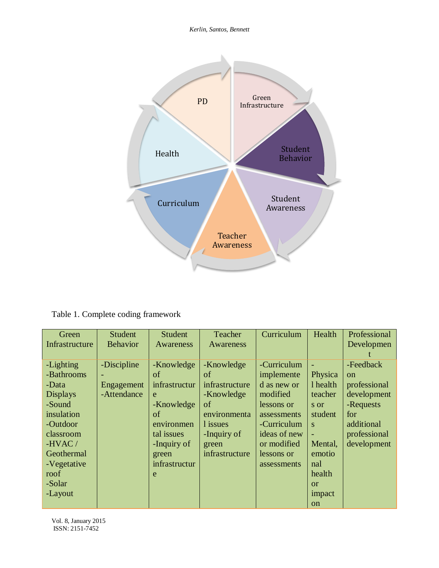*Kerlin, Santos, Bennett*



Table 1. Complete coding framework

| Green           | <b>Student</b>  | Student       | Teacher        | Curriculum   | Health         | Professional  |
|-----------------|-----------------|---------------|----------------|--------------|----------------|---------------|
| Infrastructure  | <b>Behavior</b> | Awareness     | Awareness      |              |                | Developmen    |
|                 |                 |               |                |              |                |               |
| -Lighting       | -Discipline     | -Knowledge    | -Knowledge     | -Curriculum  |                | -Feedback     |
| -Bathrooms      |                 | of            | of             | implemente   | Physica        | <sub>on</sub> |
| -Data           | Engagement      | infrastructur | infrastructure | d as new or  | 1 health       | professional  |
| <b>Displays</b> | -Attendance     | e             | -Knowledge     | modified     | teacher        | development   |
| -Sound          |                 | -Knowledge    | of             | lessons or   | s or           | -Requests     |
| insulation      |                 | of            | environmenta   | assessments  | student        | for           |
| -Outdoor        |                 | environmen    | l issues       | -Curriculum  | S              | additional    |
| classroom       |                 | tal issues    | -Inquiry of    | ideas of new | $\blacksquare$ | professional  |
| -HVAC $/$       |                 | -Inquiry of   | green          | or modified  | Mental,        | development   |
| Geothermal      |                 | green         | infrastructure | lessons or   | emotio         |               |
| -Vegetative     |                 | infrastructur |                | assessments  | nal            |               |
| roof            |                 | e             |                |              | health         |               |
| -Solar          |                 |               |                |              | $\alpha$       |               |
| -Layout         |                 |               |                |              | impact         |               |
|                 |                 |               |                |              | on             |               |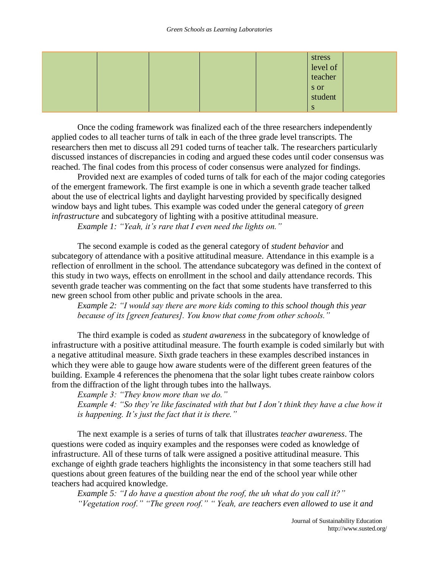|  |  | stress<br>level of<br>teacher |  |
|--|--|-------------------------------|--|
|  |  |                               |  |
|  |  | s or<br>student               |  |
|  |  |                               |  |

Once the coding framework was finalized each of the three researchers independently applied codes to all teacher turns of talk in each of the three grade level transcripts. The researchers then met to discuss all 291 coded turns of teacher talk. The researchers particularly discussed instances of discrepancies in coding and argued these codes until coder consensus was reached. The final codes from this process of coder consensus were analyzed for findings.

Provided next are examples of coded turns of talk for each of the major coding categories of the emergent framework. The first example is one in which a seventh grade teacher talked about the use of electrical lights and daylight harvesting provided by specifically designed window bays and light tubes. This example was coded under the general category of *green infrastructure* and subcategory of lighting with a positive attitudinal measure.

*Example 1: "Yeah, it's rare that I even need the lights on."*

The second example is coded as the general category of *student behavior* and subcategory of attendance with a positive attitudinal measure. Attendance in this example is a reflection of enrollment in the school. The attendance subcategory was defined in the context of this study in two ways, effects on enrollment in the school and daily attendance records. This seventh grade teacher was commenting on the fact that some students have transferred to this new green school from other public and private schools in the area.

*Example 2: "I would say there are more kids coming to this school though this year because of its [green features]. You know that come from other schools."*

The third example is coded as *student awareness* in the subcategory of knowledge of infrastructure with a positive attitudinal measure. The fourth example is coded similarly but with a negative attitudinal measure. Sixth grade teachers in these examples described instances in which they were able to gauge how aware students were of the different green features of the building. Example 4 references the phenomena that the solar light tubes create rainbow colors from the diffraction of the light through tubes into the hallways.

*Example 3: "They know more than we do." Example 4: "So they're like fascinated with that but I don't think they have a clue how it is happening. It's just the fact that it is there."*

The next example is a series of turns of talk that illustrates *teacher awareness*. The questions were coded as inquiry examples and the responses were coded as knowledge of infrastructure. All of these turns of talk were assigned a positive attitudinal measure. This exchange of eighth grade teachers highlights the inconsistency in that some teachers still had questions about green features of the building near the end of the school year while other teachers had acquired knowledge.

*Example 5: "I do have a question about the roof, the uh what do you call it?" "Vegetation roof." "The green roof." " Yeah, are teachers even allowed to use it and*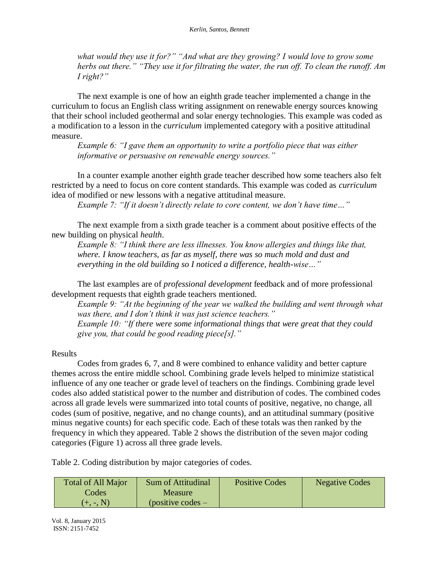*what would they use it for?" "And what are they growing? I would love to grow some herbs out there." "They use it for filtrating the water, the run off. To clean the runoff. Am I right?"*

The next example is one of how an eighth grade teacher implemented a change in the curriculum to focus an English class writing assignment on renewable energy sources knowing that their school included geothermal and solar energy technologies. This example was coded as a modification to a lesson in the *curriculum* implemented category with a positive attitudinal measure.

*Example 6: "I gave them an opportunity to write a portfolio piece that was either informative or persuasive on renewable energy sources."*

In a counter example another eighth grade teacher described how some teachers also felt restricted by a need to focus on core content standards. This example was coded as *curriculum* idea of modified or new lessons with a negative attitudinal measure.

*Example 7: "If it doesn't directly relate to core content, we don't have time…"*

The next example from a sixth grade teacher is a comment about positive effects of the new building on physical *health*.

*Example 8: "I think there are less illnesses. You know allergies and things like that, where. I know teachers, as far as myself, there was so much mold and dust and everything in the old building so I noticed a difference, health-wise…"*

The last examples are of *professional development* feedback and of more professional development requests that eighth grade teachers mentioned.

*Example 9: "At the beginning of the year we walked the building and went through what was there, and I don't think it was just science teachers."*

*Example 10: "If there were some informational things that were great that they could give you, that could be good reading piece[s]."*

### Results

Codes from grades 6, 7, and 8 were combined to enhance validity and better capture themes across the entire middle school. Combining grade levels helped to minimize statistical influence of any one teacher or grade level of teachers on the findings. Combining grade level codes also added statistical power to the number and distribution of codes. The combined codes across all grade levels were summarized into total counts of positive, negative, no change, all codes (sum of positive, negative, and no change counts), and an attitudinal summary (positive minus negative counts) for each specific code. Each of these totals was then ranked by the frequency in which they appeared. Table 2 shows the distribution of the seven major coding categories (Figure 1) across all three grade levels.

Table 2. Coding distribution by major categories of codes.

| <b>Total of All Major</b> | <b>Sum of Attitudinal</b> | <b>Positive Codes</b> | <b>Negative Codes</b> |
|---------------------------|---------------------------|-----------------------|-----------------------|
| Codes                     | <b>Measure</b>            |                       |                       |
| $(+, -, N)$               | $(positive codes -$       |                       |                       |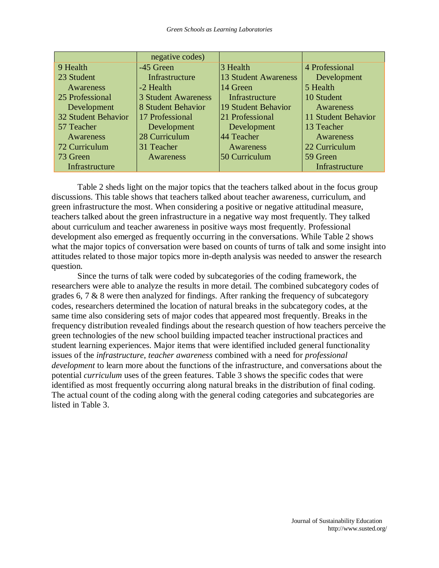|                     | negative codes)            |                             |                     |
|---------------------|----------------------------|-----------------------------|---------------------|
| 9 Health            | -45 Green                  | 3 Health                    | 4 Professional      |
| 23 Student          | Infrastructure             | <b>13 Student Awareness</b> | Development         |
| Awareness           | -2 Health                  | 14 Green                    | 5 Health            |
| 25 Professional     | <b>3 Student Awareness</b> | Infrastructure              | 10 Student          |
| Development         | 8 Student Behavior         | 19 Student Behavior         | Awareness           |
| 32 Student Behavior | 17 Professional            | 21 Professional             | 11 Student Behavior |
| 57 Teacher          | Development                | Development                 | 13 Teacher          |
| Awareness           | 28 Curriculum              | $ 44 \text{ Teacher} $      | Awareness           |
| 72 Curriculum       | 31 Teacher                 | Awareness                   | 22 Curriculum       |
| 73 Green            | Awareness                  | 50 Curriculum               | 59 Green            |
| Infrastructure      |                            |                             | Infrastructure      |

Table 2 sheds light on the major topics that the teachers talked about in the focus group discussions. This table shows that teachers talked about teacher awareness, curriculum, and green infrastructure the most. When considering a positive or negative attitudinal measure, teachers talked about the green infrastructure in a negative way most frequently. They talked about curriculum and teacher awareness in positive ways most frequently. Professional development also emerged as frequently occurring in the conversations. While Table 2 shows what the major topics of conversation were based on counts of turns of talk and some insight into attitudes related to those major topics more in-depth analysis was needed to answer the research question.

Since the turns of talk were coded by subcategories of the coding framework, the researchers were able to analyze the results in more detail. The combined subcategory codes of grades 6, 7 & 8 were then analyzed for findings. After ranking the frequency of subcategory codes, researchers determined the location of natural breaks in the subcategory codes, at the same time also considering sets of major codes that appeared most frequently. Breaks in the frequency distribution revealed findings about the research question of how teachers perceive the green technologies of the new school building impacted teacher instructional practices and student learning experiences. Major items that were identified included general functionality issues of the *infrastructure*, *teacher awareness* combined with a need for *professional development* to learn more about the functions of the infrastructure, and conversations about the potential *curriculum* uses of the green features. Table 3 shows the specific codes that were identified as most frequently occurring along natural breaks in the distribution of final coding. The actual count of the coding along with the general coding categories and subcategories are listed in Table 3.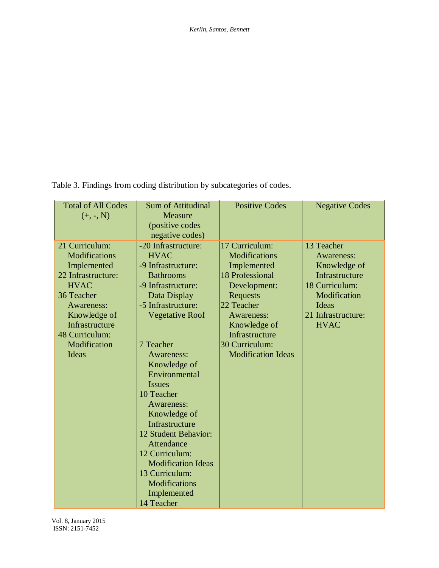Table 3. Findings from coding distribution by subcategories of codes.

| <b>Total of All Codes</b> | <b>Sum of Attitudinal</b> | <b>Positive Codes</b>     | <b>Negative Codes</b> |
|---------------------------|---------------------------|---------------------------|-----------------------|
| $(+, -, N)$               | <b>Measure</b>            |                           |                       |
|                           | $(positive codes -$       |                           |                       |
|                           | negative codes)           |                           |                       |
| 21 Curriculum:            | -20 Infrastructure:       | 17 Curriculum:            | 13 Teacher            |
| <b>Modifications</b>      | <b>HVAC</b>               | <b>Modifications</b>      | Awareness:            |
| Implemented               | -9 Infrastructure:        | Implemented               | Knowledge of          |
| 22 Infrastructure:        | <b>Bathrooms</b>          | 18 Professional           | Infrastructure        |
| <b>HVAC</b>               | -9 Infrastructure:        | Development:              | 18 Curriculum:        |
| 36 Teacher                | Data Display              | Requests                  | Modification          |
| Awareness:                | -5 Infrastructure:        | 22 Teacher                | Ideas                 |
| Knowledge of              | <b>Vegetative Roof</b>    | Awareness:                | 21 Infrastructure:    |
| Infrastructure            |                           | Knowledge of              | <b>HVAC</b>           |
| 48 Curriculum:            |                           | Infrastructure            |                       |
| Modification              | 7 Teacher                 | 30 Curriculum:            |                       |
| Ideas                     | <b>Awareness:</b>         | <b>Modification Ideas</b> |                       |
|                           | Knowledge of              |                           |                       |
|                           | Environmental             |                           |                       |
|                           | <i>Issues</i>             |                           |                       |
|                           | 10 Teacher                |                           |                       |
|                           | Awareness:                |                           |                       |
|                           | Knowledge of              |                           |                       |
|                           | Infrastructure            |                           |                       |
|                           | 12 Student Behavior:      |                           |                       |
|                           | Attendance                |                           |                       |
|                           | 12 Curriculum:            |                           |                       |
|                           | <b>Modification Ideas</b> |                           |                       |
|                           | 13 Curriculum:            |                           |                       |
|                           | <b>Modifications</b>      |                           |                       |
|                           | Implemented               |                           |                       |
|                           | 14 Teacher                |                           |                       |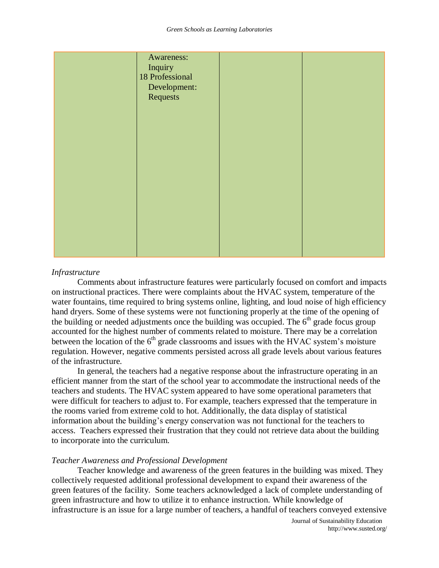| Awareness:      |  |
|-----------------|--|
| Inquiry         |  |
| 18 Professional |  |
| Development:    |  |
| Requests        |  |
|                 |  |
|                 |  |
|                 |  |
|                 |  |
|                 |  |
|                 |  |
|                 |  |
|                 |  |
|                 |  |
|                 |  |
|                 |  |
|                 |  |
|                 |  |
|                 |  |
|                 |  |
|                 |  |
|                 |  |

### *Infrastructure*

Comments about infrastructure features were particularly focused on comfort and impacts on instructional practices. There were complaints about the HVAC system, temperature of the water fountains, time required to bring systems online, lighting, and loud noise of high efficiency hand dryers. Some of these systems were not functioning properly at the time of the opening of the building or needed adjustments once the building was occupied. The  $6<sup>th</sup>$  grade focus group accounted for the highest number of comments related to moisture. There may be a correlation between the location of the  $6<sup>th</sup>$  grade classrooms and issues with the HVAC system's moisture regulation. However, negative comments persisted across all grade levels about various features of the infrastructure.

In general, the teachers had a negative response about the infrastructure operating in an efficient manner from the start of the school year to accommodate the instructional needs of the teachers and students. The HVAC system appeared to have some operational parameters that were difficult for teachers to adjust to. For example, teachers expressed that the temperature in the rooms varied from extreme cold to hot. Additionally, the data display of statistical information about the building's energy conservation was not functional for the teachers to access. Teachers expressed their frustration that they could not retrieve data about the building to incorporate into the curriculum.

### *Teacher Awareness and Professional Development*

Teacher knowledge and awareness of the green features in the building was mixed. They collectively requested additional professional development to expand their awareness of the green features of the facility. Some teachers acknowledged a lack of complete understanding of green infrastructure and how to utilize it to enhance instruction. While knowledge of infrastructure is an issue for a large number of teachers, a handful of teachers conveyed extensive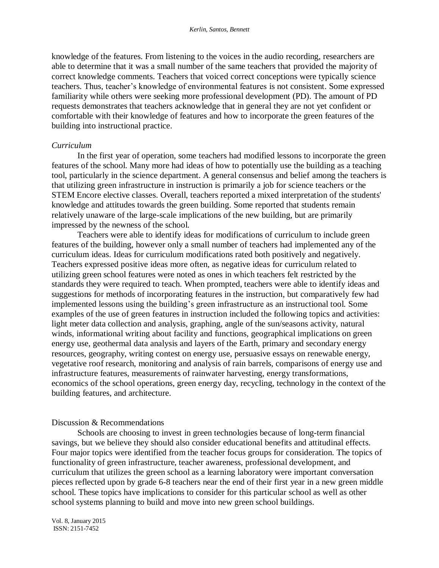knowledge of the features. From listening to the voices in the audio recording, researchers are able to determine that it was a small number of the same teachers that provided the majority of correct knowledge comments. Teachers that voiced correct conceptions were typically science teachers. Thus, teacher's knowledge of environmental features is not consistent. Some expressed familiarity while others were seeking more professional development (PD). The amount of PD requests demonstrates that teachers acknowledge that in general they are not yet confident or comfortable with their knowledge of features and how to incorporate the green features of the building into instructional practice.

#### *Curriculum*

In the first year of operation, some teachers had modified lessons to incorporate the green features of the school. Many more had ideas of how to potentially use the building as a teaching tool, particularly in the science department. A general consensus and belief among the teachers is that utilizing green infrastructure in instruction is primarily a job for science teachers or the STEM Encore elective classes. Overall, teachers reported a mixed interpretation of the students' knowledge and attitudes towards the green building. Some reported that students remain relatively unaware of the large-scale implications of the new building, but are primarily impressed by the newness of the school.

Teachers were able to identify ideas for modifications of curriculum to include green features of the building, however only a small number of teachers had implemented any of the curriculum ideas. Ideas for curriculum modifications rated both positively and negatively. Teachers expressed positive ideas more often, as negative ideas for curriculum related to utilizing green school features were noted as ones in which teachers felt restricted by the standards they were required to teach. When prompted, teachers were able to identify ideas and suggestions for methods of incorporating features in the instruction, but comparatively few had implemented lessons using the building's green infrastructure as an instructional tool. Some examples of the use of green features in instruction included the following topics and activities: light meter data collection and analysis, graphing, angle of the sun/seasons activity, natural winds, informational writing about facility and functions, geographical implications on green energy use, geothermal data analysis and layers of the Earth, primary and secondary energy resources, geography, writing contest on energy use, persuasive essays on renewable energy, vegetative roof research, monitoring and analysis of rain barrels, comparisons of energy use and infrastructure features, measurements of rainwater harvesting, energy transformations, economics of the school operations, green energy day, recycling, technology in the context of the building features, and architecture.

#### Discussion & Recommendations

Schools are choosing to invest in green technologies because of long-term financial savings, but we believe they should also consider educational benefits and attitudinal effects. Four major topics were identified from the teacher focus groups for consideration. The topics of functionality of green infrastructure, teacher awareness, professional development, and curriculum that utilizes the green school as a learning laboratory were important conversation pieces reflected upon by grade 6-8 teachers near the end of their first year in a new green middle school. These topics have implications to consider for this particular school as well as other school systems planning to build and move into new green school buildings.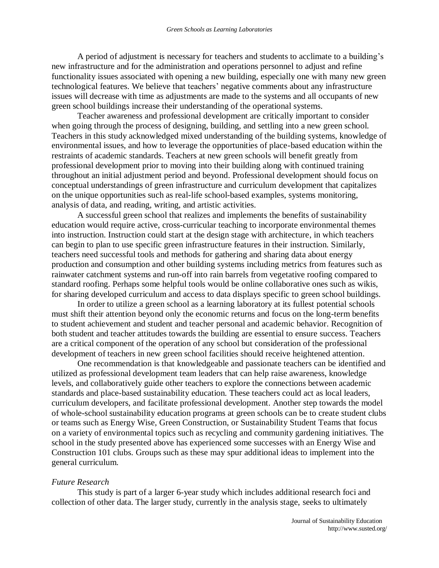A period of adjustment is necessary for teachers and students to acclimate to a building's new infrastructure and for the administration and operations personnel to adjust and refine functionality issues associated with opening a new building, especially one with many new green technological features. We believe that teachers' negative comments about any infrastructure issues will decrease with time as adjustments are made to the systems and all occupants of new green school buildings increase their understanding of the operational systems.

Teacher awareness and professional development are critically important to consider when going through the process of designing, building, and settling into a new green school. Teachers in this study acknowledged mixed understanding of the building systems, knowledge of environmental issues, and how to leverage the opportunities of place-based education within the restraints of academic standards. Teachers at new green schools will benefit greatly from professional development prior to moving into their building along with continued training throughout an initial adjustment period and beyond. Professional development should focus on conceptual understandings of green infrastructure and curriculum development that capitalizes on the unique opportunities such as real-life school-based examples, systems monitoring, analysis of data, and reading, writing, and artistic activities.

A successful green school that realizes and implements the benefits of sustainability education would require active, cross-curricular teaching to incorporate environmental themes into instruction. Instruction could start at the design stage with architecture, in which teachers can begin to plan to use specific green infrastructure features in their instruction. Similarly, teachers need successful tools and methods for gathering and sharing data about energy production and consumption and other building systems including metrics from features such as rainwater catchment systems and run-off into rain barrels from vegetative roofing compared to standard roofing. Perhaps some helpful tools would be online collaborative ones such as wikis, for sharing developed curriculum and access to data displays specific to green school buildings.

In order to utilize a green school as a learning laboratory at its fullest potential schools must shift their attention beyond only the economic returns and focus on the long-term benefits to student achievement and student and teacher personal and academic behavior. Recognition of both student and teacher attitudes towards the building are essential to ensure success. Teachers are a critical component of the operation of any school but consideration of the professional development of teachers in new green school facilities should receive heightened attention.

One recommendation is that knowledgeable and passionate teachers can be identified and utilized as professional development team leaders that can help raise awareness, knowledge levels, and collaboratively guide other teachers to explore the connections between academic standards and place-based sustainability education. These teachers could act as local leaders, curriculum developers, and facilitate professional development. Another step towards the model of whole-school sustainability education programs at green schools can be to create student clubs or teams such as Energy Wise, Green Construction, or Sustainability Student Teams that focus on a variety of environmental topics such as recycling and community gardening initiatives. The school in the study presented above has experienced some successes with an Energy Wise and Construction 101 clubs. Groups such as these may spur additional ideas to implement into the general curriculum.

#### *Future Research*

This study is part of a larger 6-year study which includes additional research foci and collection of other data. The larger study, currently in the analysis stage, seeks to ultimately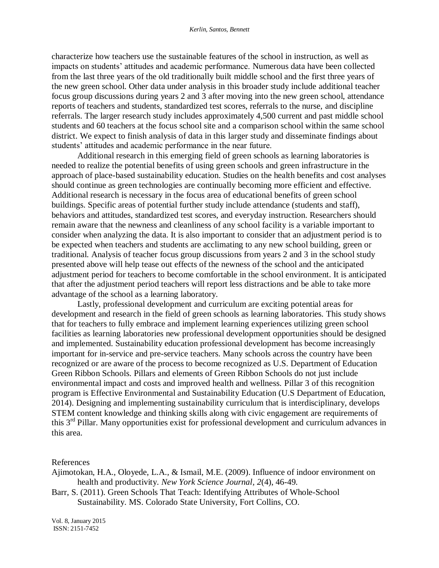characterize how teachers use the sustainable features of the school in instruction, as well as impacts on students' attitudes and academic performance. Numerous data have been collected from the last three years of the old traditionally built middle school and the first three years of the new green school. Other data under analysis in this broader study include additional teacher focus group discussions during years 2 and 3 after moving into the new green school, attendance reports of teachers and students, standardized test scores, referrals to the nurse, and discipline referrals. The larger research study includes approximately 4,500 current and past middle school students and 60 teachers at the focus school site and a comparison school within the same school district. We expect to finish analysis of data in this larger study and disseminate findings about students' attitudes and academic performance in the near future.

Additional research in this emerging field of green schools as learning laboratories is needed to realize the potential benefits of using green schools and green infrastructure in the approach of place-based sustainability education. Studies on the health benefits and cost analyses should continue as green technologies are continually becoming more efficient and effective. Additional research is necessary in the focus area of educational benefits of green school buildings. Specific areas of potential further study include attendance (students and staff), behaviors and attitudes, standardized test scores, and everyday instruction. Researchers should remain aware that the newness and cleanliness of any school facility is a variable important to consider when analyzing the data. It is also important to consider that an adjustment period is to be expected when teachers and students are acclimating to any new school building, green or traditional. Analysis of teacher focus group discussions from years 2 and 3 in the school study presented above will help tease out effects of the newness of the school and the anticipated adjustment period for teachers to become comfortable in the school environment. It is anticipated that after the adjustment period teachers will report less distractions and be able to take more advantage of the school as a learning laboratory.

Lastly, professional development and curriculum are exciting potential areas for development and research in the field of green schools as learning laboratories. This study shows that for teachers to fully embrace and implement learning experiences utilizing green school facilities as learning laboratories new professional development opportunities should be designed and implemented. Sustainability education professional development has become increasingly important for in-service and pre-service teachers. Many schools across the country have been recognized or are aware of the process to become recognized as U.S. Department of Education Green Ribbon Schools. Pillars and elements of Green Ribbon Schools do not just include environmental impact and costs and improved health and wellness. Pillar 3 of this recognition program is Effective Environmental and Sustainability Education (U.S Department of Education, 2014). Designing and implementing sustainability curriculum that is interdisciplinary, develops STEM content knowledge and thinking skills along with civic engagement are requirements of this 3rd Pillar. Many opportunities exist for professional development and curriculum advances in this area.

References

Ajimotokan, H.A., Oloyede, L.A., & Ismail, M.E. (2009). Influence of indoor environment on health and productivity. *New York Science Journal, 2*(4), 46-49.

Barr, S. (2011). Green Schools That Teach: Identifying Attributes of Whole-School Sustainability. MS. Colorado State University, Fort Collins, CO.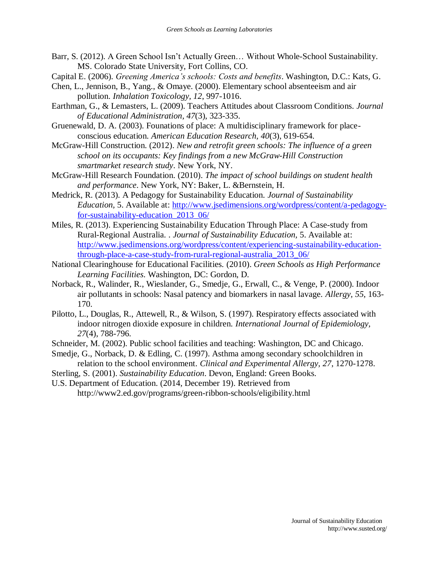- Barr, S. (2012). A Green School Isn't Actually Green… Without Whole-School Sustainability. MS. Colorado State University, Fort Collins, CO.
- Capital E. (2006). *Greening America's schools: Costs and benefits*. Washington, D.C.: Kats, G.
- Chen, L., Jennison, B., Yang., & Omaye. (2000). Elementary school absenteeism and air pollution. *Inhalation Toxicology, 12*, 997-1016.
- Earthman, G., & Lemasters, L. (2009). Teachers Attitudes about Classroom Conditions. *Journal of Educational Administration, 47*(3), 323-335.
- Gruenewald, D. A. (2003). Founations of place: A multidisciplinary framework for placeconscious education. *American Education Research, 40*(3), 619-654.
- McGraw-Hill Construction. (2012). *New and retrofit green schools: The influence of a green school on its occupants: Key findings from a new McGraw-Hill Construction smartmarket research study*. New York, NY.
- McGraw-Hill Research Foundation. (2010). *The impact of school buildings on student health and performance*. New York, NY: Baker, L. &Bernstein, H.
- Medrick, R. (2013). A Pedagogy for Sustainability Education. *Journal of Sustainability Education,* 5. Available at: [http://www.jsedimensions.org/wordpress/content/a-pedagogy](http://www.jsedimensions.org/wordpress/content/a-pedagogy-for-sustainability-education_2013_06/)[for-sustainability-education\\_2013\\_06/](http://www.jsedimensions.org/wordpress/content/a-pedagogy-for-sustainability-education_2013_06/)
- Miles, R. (2013). Experiencing Sustainability Education Through Place: A Case-study from Rural-Regional Australia. . *Journal of Sustainability Education,* 5. Available at: [http://www.jsedimensions.org/wordpress/content/experiencing-sustainability-education](http://www.jsedimensions.org/wordpress/content/experiencing-sustainability-education-through-place-a-case-study-from-rural-regional-australia_2013_06/)[through-place-a-case-study-from-rural-regional-australia\\_2013\\_06/](http://www.jsedimensions.org/wordpress/content/experiencing-sustainability-education-through-place-a-case-study-from-rural-regional-australia_2013_06/)
- National Clearinghouse for Educational Facilities. (2010). *Green Schools as High Performance Learning Facilities*. Washington, DC: Gordon, D.
- Norback, R., Walinder, R., Wieslander, G., Smedje, G., Erwall, C., & Venge, P. (2000). Indoor air pollutants in schools: Nasal patency and biomarkers in nasal lavage. *Allergy, 55*, 163- 170.
- Pilotto, L., Douglas, R., Attewell, R., & Wilson, S. (1997). Respiratory effects associated with indoor nitrogen dioxide exposure in children. *International Journal of Epidemiology, 27*(4), 788-796.
- Schneider, M. (2002). Public school facilities and teaching: Washington, DC and Chicago.
- Smedje, G., Norback, D. & Edling, C. (1997). Asthma among secondary schoolchildren in relation to the school environment. *Clinical and Experimental Allergy, 27*, 1270-1278.
- Sterling, S. (2001). *Sustainability Education*. Devon, England: Green Books.

U.S. Department of Education. (2014, December 19). Retrieved from http://www2.ed.gov/programs/green-ribbon-schools/eligibility.html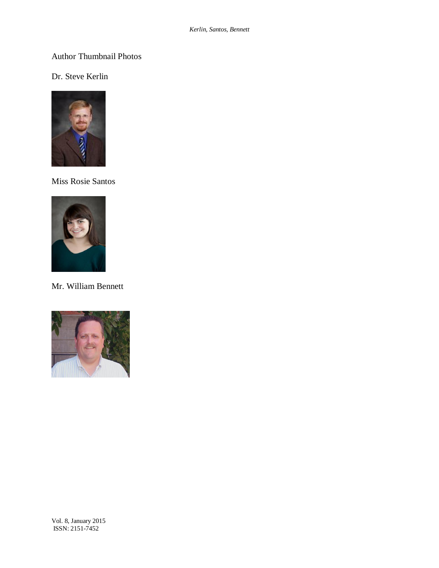## Author Thumbnail Photos

## Dr. Steve Kerlin



Miss Rosie Santos



Mr. William Bennett